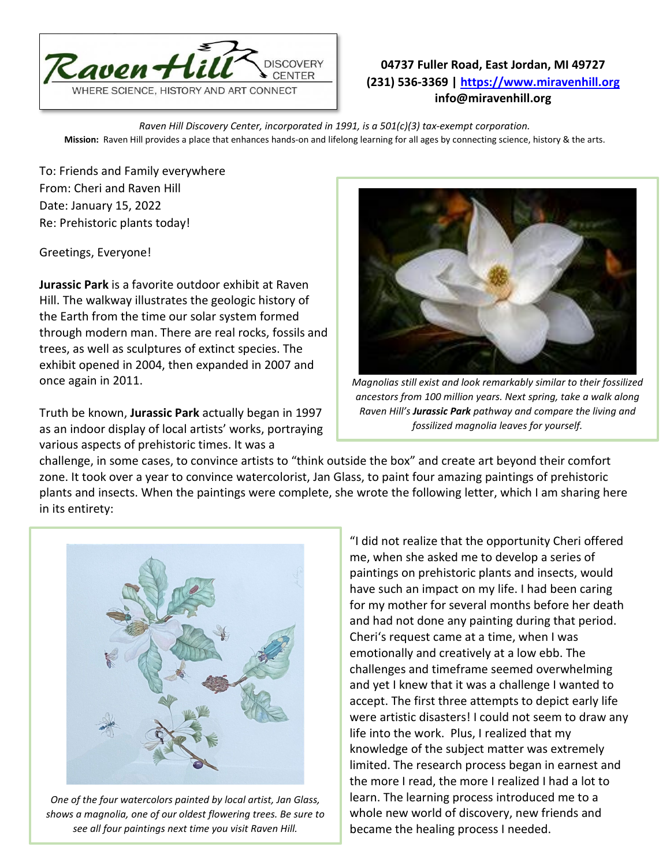

## **04737 Fuller Road, East Jordan, MI 49727 (231) 536-3369 | [https://www.miravenhill.org](https://www.miravenhill.org/) info@miravenhill.org**

*Raven Hill Discovery Center, incorporated in 1991, is a 501(c)(3) tax-exempt corporation.* **Mission:** Raven Hill provides a place that enhances hands-on and lifelong learning for all ages by connecting science, history & the arts.

To: Friends and Family everywhere From: Cheri and Raven Hill Date: January 15, 2022 Re: Prehistoric plants today!

Greetings, Everyone!

**Jurassic Park** is a favorite outdoor exhibit at Raven Hill. The walkway illustrates the geologic history of the Earth from the time our solar system formed through modern man. There are real rocks, fossils and trees, as well as sculptures of extinct species. The exhibit opened in 2004, then expanded in 2007 and once again in 2011.

Truth be known, **Jurassic Park** actually began in 1997 as an indoor display of local artists' works, portraying various aspects of prehistoric times. It was a



*Magnolias still exist and look remarkably similar to their fossilized ancestors from 100 million years. Next spring, take a walk along Raven Hill's Jurassic Park pathway and compare the living and fossilized magnolia leaves for yourself.* 

challenge, in some cases, to convince artists to "think outside the box" and create art beyond their comfort zone. It took over a year to convince watercolorist, Jan Glass, to paint four amazing paintings of prehistoric plants and insects. When the paintings were complete, she wrote the following letter, which I am sharing here in its entirety:



*One of the four watercolors painted by local artist, Jan Glass, shows a magnolia, one of our oldest flowering trees. Be sure to see all four paintings next time you visit Raven Hill.*

"I did not realize that the opportunity Cheri offered me, when she asked me to develop a series of paintings on prehistoric plants and insects, would have such an impact on my life. I had been caring for my mother for several months before her death and had not done any painting during that period. Cheri's request came at a time, when I was emotionally and creatively at a low ebb. The challenges and timeframe seemed overwhelming and yet I knew that it was a challenge I wanted to accept. The first three attempts to depict early life were artistic disasters! I could not seem to draw any life into the work. Plus, I realized that my knowledge of the subject matter was extremely limited. The research process began in earnest and the more I read, the more I realized I had a lot to learn. The learning process introduced me to a whole new world of discovery, new friends and became the healing process I needed.